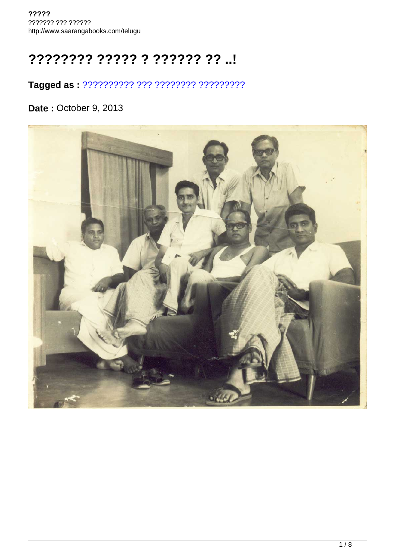## **???????? ????? ? ?????? ?? ..!**

**Tagged as :** [?????????? ??? ???????? ?????????](http://www.saarangabooks.com/telugu/tag/%e0%b0%b0%e0%b0%be%e0%b0%82%e0%b0%aa%e0%b1%8d%e0%b0%b0%e0%b0%b8%e0%b0%be%e0%b0%a6%e0%b1%8d-%e0%b0%85%e0%b0%a8%e0%b1%81-%e0%b0%8e%e0%b0%ae%e0%b1%8d%e0%b0%b5%e0%b1%80%e0%b0%af%e0%b0%b2%e0%b1%8d/)

**Date : October 9, 2013** 

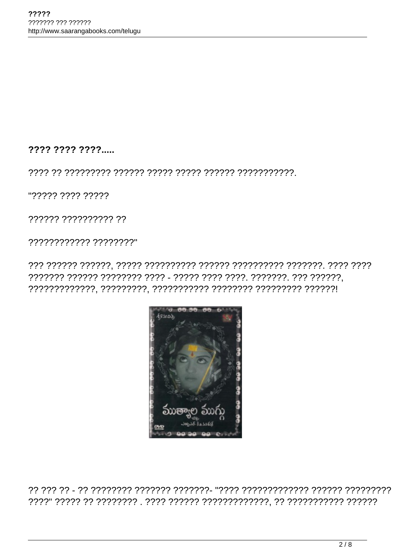???? ???? ????

"????? ???? ?????

?????? ?????????? ??

777777777777 ????????"

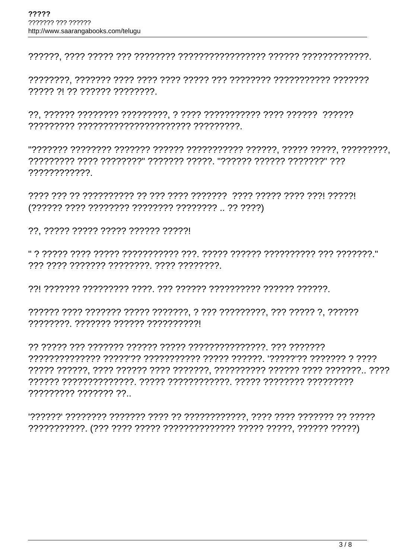77777 71 77 777777 77777777

????????????

??. ????? ????? ????? ?????? ?????!

7777777 7777777 777777 77777777771

רְרְרָךְ ךָ רְרְרְרְרָךָ רְרִירְרְרָרָי יְרִירְרָרְרָךְ רְרִירְרְרְרְרְרְרְרְרָךְ רְרִירְרָרְרָךְ רְרִירְרְרְר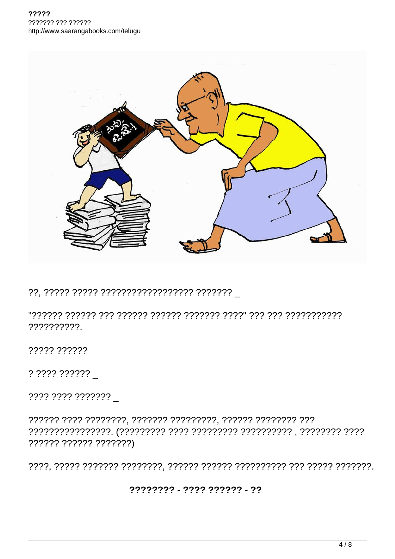

??????????

????? ??????

? ???? ?????? \_

???? ???? ???????

?????? ?????? ???????)

???????? - ???? ?????? - ??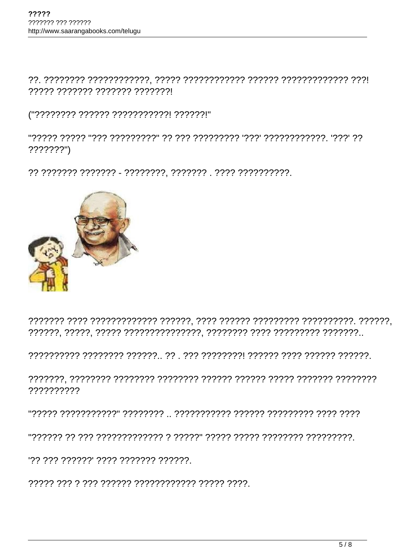77777 7777777 7777777 77777771

"!??????? !?????? ???????????? ??????!"

 $???????$ ")



7777777777

ְיִיְרְיִיֹן יִיְרְיִיְיֹן יְיִיְיְיִיְיָן יִיךְ יִיְרְי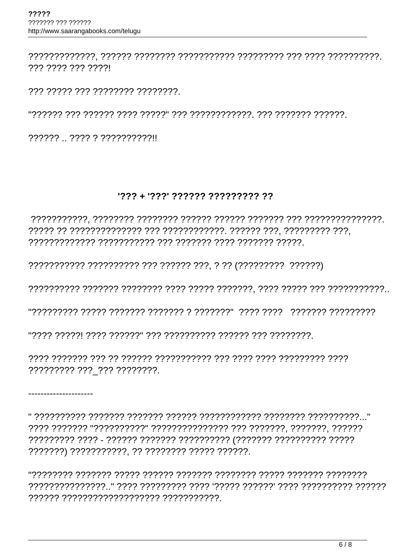??? ???? ??? ????!

777 77777 777 77777777 77777777

<u>וְיִרְיִרְיָךְ הְיִרְיָרְיָךְ הְיִרְיְרְיְרְיְרְיְרְיְרְיָךְ הְיָרְיֹךְ הְיָרְיָךְ הְיָרְיָרָ הְיָרְיָרָךְ הְי</u>

777772 . 7777 ? 777777777711

## ??? + ????????????????????????????

ורווירויך ווינווין בינוי בינוי ווינוויון ווינוויון ווינווין ווינוין ווינוי ווינווויון

????????? ??? ??? ?????????

???????) ???????????. ?? ???????? ????? ??????.

777777 7777777777777777777 77777777777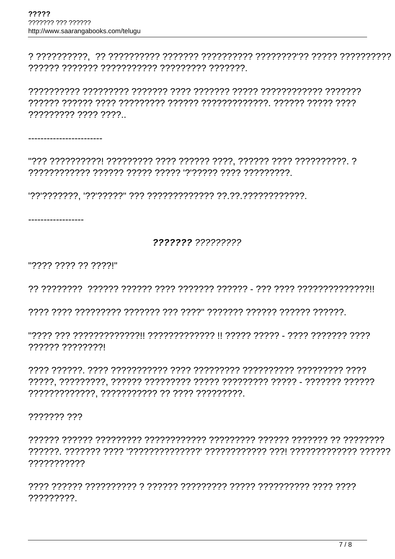<u>וְיָרְיִרְיִרְיִרְיִרְיָרָךְ הְרָרְיִרְיִרְיִרְיִרְיִרְיִךְ הְרָי</u>

## 2222222 222222222

"2222 2222 22 22221"

777777 777777771

??????? ???

<u>?????? ??????? וְלִיךְ הַיְלְיֹתֲלִיךְ הַיְלְיֹתֲלִילְלִיךָ יִלְיֹלְלְיֹתֲלִילְלִילְלִי לְלִילְלִילְ הַלְלִלְל</u> ???????????

<u>יורי ויולי ויוליוויולי ויולין ויוויוויון ויוולין ויוויוויוויון ויוולין ויוו</u> ?????????